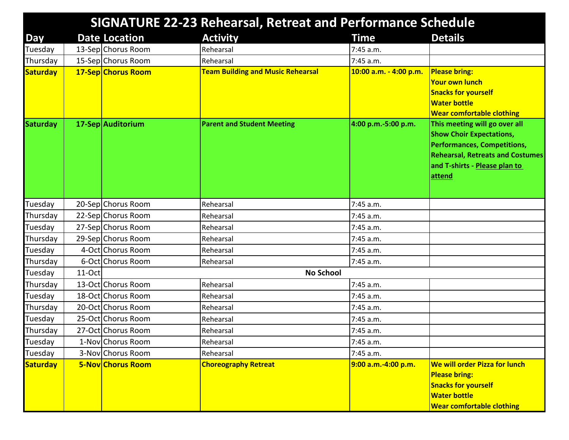|                 | <b>SIGNATURE 22-23 Rehearsal, Retreat and Performance Schedule</b> |                      |                                          |                        |                                                                                                                                                                                              |  |
|-----------------|--------------------------------------------------------------------|----------------------|------------------------------------------|------------------------|----------------------------------------------------------------------------------------------------------------------------------------------------------------------------------------------|--|
| Day             |                                                                    | <b>Date Location</b> | <b>Activity</b>                          | <b>Time</b>            | <b>Details</b>                                                                                                                                                                               |  |
| Tuesday         |                                                                    | 13-Sep Chorus Room   | Rehearsal                                | 7:45 a.m.              |                                                                                                                                                                                              |  |
| Thursday        |                                                                    | 15-Sep Chorus Room   | Rehearsal                                | 7:45 a.m.              |                                                                                                                                                                                              |  |
| <b>Saturday</b> |                                                                    | 17-Sep Chorus Room   | <b>Team Building and Music Rehearsal</b> | 10:00 a.m. - 4:00 p.m. | <b>Please bring:</b><br><b>Your own lunch</b><br><b>Snacks for yourself</b><br><b>Water bottle</b><br><b>Wear comfortable clothing</b>                                                       |  |
| <b>Saturday</b> |                                                                    | 17-Sep Auditorium    | <b>Parent and Student Meeting</b>        | 4:00 p.m.-5:00 p.m.    | This meeting will go over all<br><b>Show Choir Expectations,</b><br><b>Performances, Competitions,</b><br><b>Rehearsal, Retreats and Costumes</b><br>and T-shirts - Please plan to<br>attend |  |
| Tuesday         |                                                                    | 20-Sep Chorus Room   | Rehearsal                                | $7:45$ a.m.            |                                                                                                                                                                                              |  |
| Thursday        |                                                                    | 22-Sep Chorus Room   | Rehearsal                                | 7:45 a.m.              |                                                                                                                                                                                              |  |
| Tuesday         |                                                                    | 27-Sep Chorus Room   | Rehearsal                                | 7:45 a.m.              |                                                                                                                                                                                              |  |
| Thursday        |                                                                    | 29-Sep Chorus Room   | Rehearsal                                | 7:45 a.m.              |                                                                                                                                                                                              |  |
| Tuesday         |                                                                    | 4-Oct Chorus Room    | Rehearsal                                | 7:45 a.m.              |                                                                                                                                                                                              |  |
| Thursday        |                                                                    | 6-Oct Chorus Room    | Rehearsal                                | 7:45 a.m.              |                                                                                                                                                                                              |  |
| Tuesday         | 11-Oct                                                             | <b>No School</b>     |                                          |                        |                                                                                                                                                                                              |  |
| Thursday        |                                                                    | 13-Oct Chorus Room   | Rehearsal                                | 7:45 a.m.              |                                                                                                                                                                                              |  |
| Tuesday         |                                                                    | 18-Oct Chorus Room   | Rehearsal                                | 7:45 a.m.              |                                                                                                                                                                                              |  |
| Thursday        |                                                                    | 20-Oct Chorus Room   | Rehearsal                                | 7:45 a.m.              |                                                                                                                                                                                              |  |
| Tuesday         |                                                                    | 25-Oct Chorus Room   | Rehearsal                                | 7:45 a.m.              |                                                                                                                                                                                              |  |
| Thursday        |                                                                    | 27-Oct Chorus Room   | Rehearsal                                | 7:45 a.m.              |                                                                                                                                                                                              |  |
| Tuesday         |                                                                    | 1-Nov Chorus Room    | Rehearsal                                | 7:45 a.m.              |                                                                                                                                                                                              |  |
| Tuesday         |                                                                    | 3-Nov Chorus Room    | Rehearsal                                | 7:45 a.m.              |                                                                                                                                                                                              |  |
| <b>Saturday</b> |                                                                    | 5-Nov Chorus Room    | <b>Choreography Retreat</b>              | 9:00 a.m.-4:00 p.m.    | <b>We will order Pizza for lunch</b><br><b>Please bring:</b><br><b>Snacks for yourself</b><br><b>Water bottle</b><br><b>Wear comfortable clothing</b>                                        |  |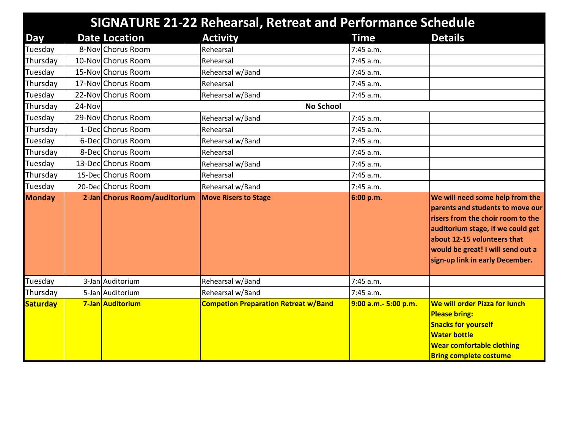|               |        |                              | <b>SIGNATURE 21-22 Rehearsal, Retreat and Performance Schedule</b> |                      |                                                                                                                                                                                                                                                      |
|---------------|--------|------------------------------|--------------------------------------------------------------------|----------------------|------------------------------------------------------------------------------------------------------------------------------------------------------------------------------------------------------------------------------------------------------|
| <b>Day</b>    |        | <b>Date Location</b>         | <b>Activity</b>                                                    | Time                 | <b>Details</b>                                                                                                                                                                                                                                       |
| Tuesday       |        | 8-Nov Chorus Room            | Rehearsal                                                          | 7:45 a.m.            |                                                                                                                                                                                                                                                      |
| Thursday      |        | 10-Nov Chorus Room           | Rehearsal                                                          | 7:45 a.m.            |                                                                                                                                                                                                                                                      |
| Tuesday       |        | 15-Nov Chorus Room           | Rehearsal w/Band                                                   | 7:45 a.m.            |                                                                                                                                                                                                                                                      |
| Thursday      |        | 17-Nov Chorus Room           | Rehearsal                                                          | 7:45 a.m.            |                                                                                                                                                                                                                                                      |
| Tuesday       |        | 22-Nov Chorus Room           | Rehearsal w/Band                                                   | 7:45 a.m.            |                                                                                                                                                                                                                                                      |
| Thursday      | 24-Nov |                              | <b>No School</b>                                                   |                      |                                                                                                                                                                                                                                                      |
| Tuesday       |        | 29-Nov Chorus Room           | Rehearsal w/Band                                                   | 7:45 a.m.            |                                                                                                                                                                                                                                                      |
| Thursday      |        | 1-Dec Chorus Room            | Rehearsal                                                          | 7:45 a.m.            |                                                                                                                                                                                                                                                      |
| Tuesday       |        | 6-DecChorus Room             | Rehearsal w/Band                                                   | 7:45 a.m.            |                                                                                                                                                                                                                                                      |
| Thursday      |        | 8-Dec Chorus Room            | Rehearsal                                                          | 7:45 a.m.            |                                                                                                                                                                                                                                                      |
| Tuesday       |        | 13-Dec Chorus Room           | Rehearsal w/Band                                                   | 7:45 a.m.            |                                                                                                                                                                                                                                                      |
| Thursday      |        | 15-DeclChorus Room           | Rehearsal                                                          | 7:45 a.m.            |                                                                                                                                                                                                                                                      |
| Tuesday       |        | 20-Dec Chorus Room           | Rehearsal w/Band                                                   | 7:45 a.m.            |                                                                                                                                                                                                                                                      |
| <b>Monday</b> |        | 2-Jan Chorus Room/auditorium | <b>Move Risers to Stage</b>                                        | 6:00 p.m.            | We will need some help from the<br>parents and students to move our<br>risers from the choir room to the<br>auditorium stage, if we could get<br>about 12-15 volunteers that<br>would be great! I will send out a<br>sign-up link in early December. |
| Tuesday       |        | 3-Jan Auditorium             | Rehearsal w/Band                                                   | 7:45 a.m.            |                                                                                                                                                                                                                                                      |
| Thursday      |        | 5-Jan Auditorium             | Rehearsal w/Band                                                   | 7:45 a.m.            |                                                                                                                                                                                                                                                      |
| Saturday      |        | 7-Jan Auditorium             | <b>Competion Preparation Retreat w/Band</b>                        | 9:00 a.m.- 5:00 p.m. | We will order Pizza for lunch<br><b>Please bring:</b><br><b>Snacks for yourself</b><br><b>Water bottle</b><br><b>Wear comfortable clothing</b><br><b>Bring complete costume</b>                                                                      |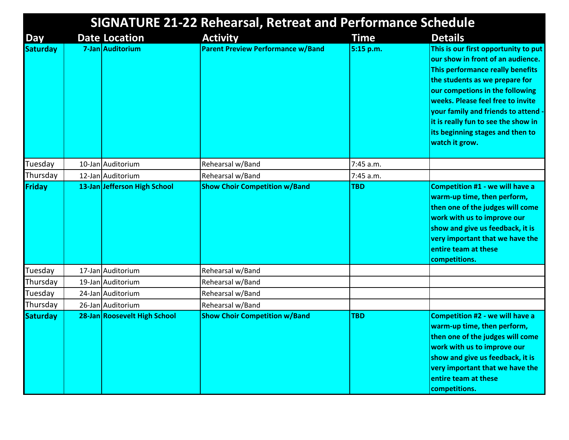| <b>SIGNATURE 21-22 Rehearsal, Retreat and Performance Schedule</b> |  |                              |                                          |             |                                                                                                                                                                                                                                                                                                                                                           |
|--------------------------------------------------------------------|--|------------------------------|------------------------------------------|-------------|-----------------------------------------------------------------------------------------------------------------------------------------------------------------------------------------------------------------------------------------------------------------------------------------------------------------------------------------------------------|
| Day                                                                |  | <b>Date Location</b>         | <b>Activity</b>                          | <b>Time</b> | <b>Details</b>                                                                                                                                                                                                                                                                                                                                            |
| <b>Saturday</b>                                                    |  | 7-Jan Auditorium             | <b>Parent Preview Performance w/Band</b> | 5:15 p.m.   | This is our first opportunity to put<br>our show in front of an audience.<br>This performance really benefits<br>the students as we prepare for<br>our competions in the following<br>weeks. Please feel free to invite<br>your family and friends to attend<br>it is really fun to see the show in<br>its beginning stages and then to<br>watch it grow. |
| Tuesday                                                            |  | 10-Jan Auditorium            | Rehearsal w/Band                         | 7:45 a.m.   |                                                                                                                                                                                                                                                                                                                                                           |
| Thursday                                                           |  | 12-Jan Auditorium            | Rehearsal w/Band                         | 7:45 a.m.   |                                                                                                                                                                                                                                                                                                                                                           |
| Friday                                                             |  | 13-Jan Jefferson High School | <b>Show Choir Competition w/Band</b>     | <b>TBD</b>  | <b>Competition #1 - we will have a</b><br>warm-up time, then perform,<br>then one of the judges will come<br>work with us to improve our<br>show and give us feedback, it is<br>very important that we have the<br>entire team at these<br>competitions.                                                                                                  |
| Tuesday                                                            |  | 17-Jan Auditorium            | Rehearsal w/Band                         |             |                                                                                                                                                                                                                                                                                                                                                           |
| Thursday                                                           |  | 19-Jan Auditorium            | Rehearsal w/Band                         |             |                                                                                                                                                                                                                                                                                                                                                           |
| Tuesday                                                            |  | 24-Jan Auditorium            | Rehearsal w/Band                         |             |                                                                                                                                                                                                                                                                                                                                                           |
| Thursday                                                           |  | 26-Jan Auditorium            | Rehearsal w/Band                         |             |                                                                                                                                                                                                                                                                                                                                                           |
| <b>Saturday</b>                                                    |  | 28-Jan Roosevelt High School | <b>Show Choir Competition w/Band</b>     | <b>TBD</b>  | <b>Competition #2 - we will have a</b><br>warm-up time, then perform,<br>then one of the judges will come<br>work with us to improve our<br>show and give us feedback, it is<br>very important that we have the<br>entire team at these<br>competitions.                                                                                                  |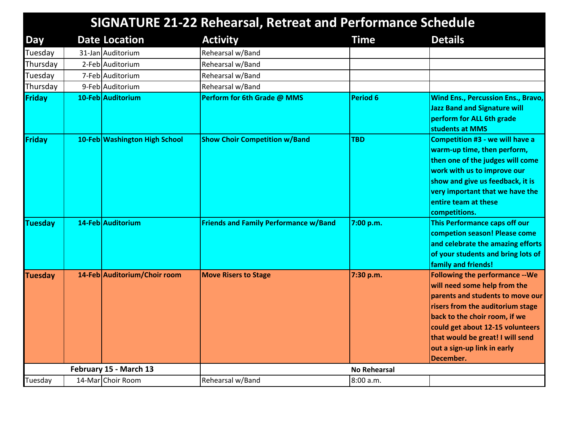|                |                               | <b>SIGNATURE 21-22 Rehearsal, Retreat and Performance Schedule</b> |                     |                                                                                                                                                                                                                                                                                                     |
|----------------|-------------------------------|--------------------------------------------------------------------|---------------------|-----------------------------------------------------------------------------------------------------------------------------------------------------------------------------------------------------------------------------------------------------------------------------------------------------|
| Day            | <b>Date Location</b>          | <b>Activity</b>                                                    | <b>Time</b>         | <b>Details</b>                                                                                                                                                                                                                                                                                      |
| Tuesday        | 31-Jan Auditorium             | Rehearsal w/Band                                                   |                     |                                                                                                                                                                                                                                                                                                     |
| Thursday       | 2-Feb Auditorium              | Rehearsal w/Band                                                   |                     |                                                                                                                                                                                                                                                                                                     |
| Tuesday        | 7-Feb Auditorium              | Rehearsal w/Band                                                   |                     |                                                                                                                                                                                                                                                                                                     |
| Thursday       | 9-Feb Auditorium              | Rehearsal w/Band                                                   |                     |                                                                                                                                                                                                                                                                                                     |
| Friday         | 10-Feb Auditorium             | Perform for 6th Grade @ MMS                                        | <b>Period 6</b>     | <b>Wind Ens., Percussion Ens., Bravo,</b><br><b>Jazz Band and Signature will</b><br>perform for ALL 6th grade<br>students at MMS                                                                                                                                                                    |
| Friday         | 10-Feb Washington High School | <b>Show Choir Competition w/Band</b>                               | <b>TBD</b>          | <b>Competition #3 - we will have a</b><br>warm-up time, then perform,<br>then one of the judges will come<br>work with us to improve our<br>show and give us feedback, it is<br>very important that we have the<br>entire team at these<br>competitions.                                            |
| <b>Tuesday</b> | 14-Feb Auditorium             | <b>Friends and Family Performance w/Band</b>                       | 7:00 p.m.           | This Performance caps off our<br>competion season! Please come<br>and celebrate the amazing efforts<br>of your students and bring lots of<br>family and friends!                                                                                                                                    |
| <b>Tuesday</b> | 14-Feb Auditorium/Choir room  | <b>Move Risers to Stage</b>                                        | 7:30 p.m.           | <b>Following the performance -- We</b><br>will need some help from the<br>parents and students to move our<br>risers from the auditorium stage<br>back to the choir room, if we<br>could get about 12-15 volunteers<br>that would be great! I will send<br>out a sign-up link in early<br>December. |
|                | February 15 - March 13        |                                                                    | <b>No Rehearsal</b> |                                                                                                                                                                                                                                                                                                     |
| Tuesday        | 14-Mar Choir Room             | Rehearsal w/Band                                                   | 8:00 a.m.           |                                                                                                                                                                                                                                                                                                     |